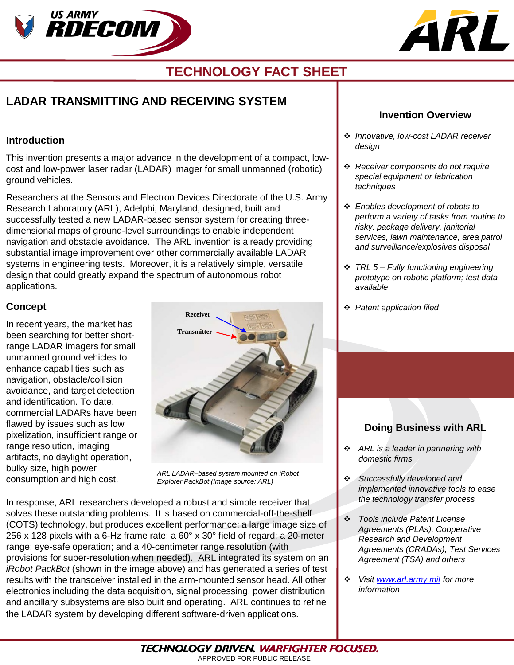



# **TECHNOLOGY FACT SHEET**

# **LADAR TRANSMITTING AND RECEIVING SYSTEM**

#### **Introduction**

This invention presents a major advance in the development of a compact, lowcost and low-power laser radar (LADAR) imager for small unmanned (robotic) ground vehicles.

Researchers at the Sensors and Electron Devices Directorate of the U.S. Army Research Laboratory (ARL), Adelphi, Maryland, designed, built and successfully tested a new LADAR-based sensor system for creating threedimensional maps of ground-level surroundings to enable independent navigation and obstacle avoidance. The ARL invention is already providing substantial image improvement over other commercially available LADAR systems in engineering tests. Moreover, it is a relatively simple, versatile design that could greatly expand the spectrum of autonomous robot applications.

### **Concept**

In recent years, the market has been searching for better shortrange LADAR imagers for small unmanned ground vehicles to enhance capabilities such as navigation, obstacle/collision avoidance, and target detection and identification. To date, commercial LADARs have been flawed by issues such as low pixelization, insufficient range or range resolution, imaging artifacts, no daylight operation, bulky size, high power consumption and high cost.



*ARL LADAR–based system mounted on iRobot Explorer PackBot (Image source: ARL)*

In response, ARL researchers developed a robust and simple receiver that solves these outstanding problems. It is based on commercial-off-the-shelf (COTS) technology, but produces excellent performance: a large image size of 256 x 128 pixels with a 6-Hz frame rate; a 60° x 30° field of regard; a 20-meter range; eye-safe operation; and a 40-centimeter range resolution (with provisions for super-resolution when needed). ARL integrated its system on an *iRobot PackBot* (shown in the image above) and has generated a series of test results with the transceiver installed in the arm-mounted sensor head. All other electronics including the data acquisition, signal processing, power distribution and ancillary subsystems are also built and operating. ARL continues to refine the LADAR system by developing different software-driven applications.

#### **Invention Overview**

- *Innovative, low-cost LADAR receiver design*
- *Receiver components do not require special equipment or fabrication techniques*
- *Enables development of robots to perform a variety of tasks from routine to risky: package delivery, janitorial services, lawn maintenance, area patrol and surveillance/explosives disposal*
- *TRL 5 – Fully functioning engineering prototype on robotic platform; test data available*
- *Patent application filed*

# **Doing Business with ARL**

- *ARL is a leader in partnering with domestic firms*
- *Successfully developed and implemented innovative tools to ease the technology transfer process*
- *Tools include Patent License Agreements (PLAs), Cooperative Research and Development Agreements (CRADAs), Test Services Agreement (TSA) and others*
- *Visit [www.arl.army.mil](http://www.arl.army.mil/) for more information*